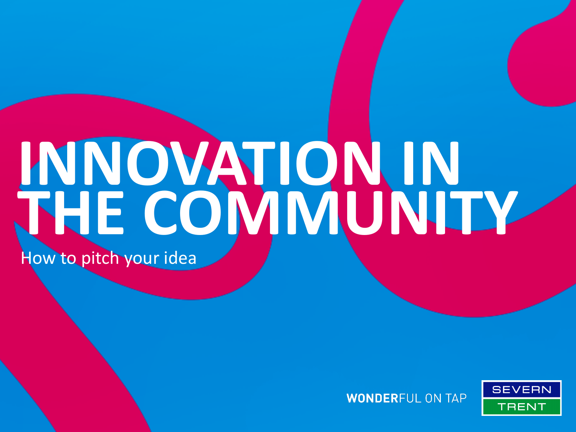# How to pitch your idea **INNOVATION IN THE COMMUNITY**



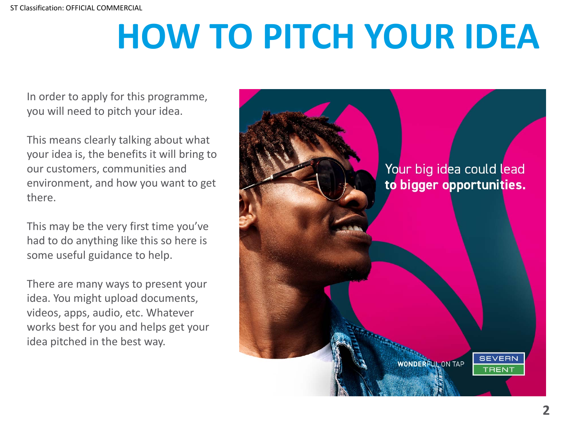# **HOW TO PITCH YOUR IDEA**

In order to apply for this programme, you will need to pitch your idea.

This means clearly talking about what your idea is, the benefits it will bring to our customers, communities and environment, and how you want to get there.

had to do anything like this so here is This may be the very first time you've some useful guidance to help.

There are many ways to present your idea. You might upload documents, videos, apps, audio, etc. Whatever works best for you and helps get your idea pitched in the best way.

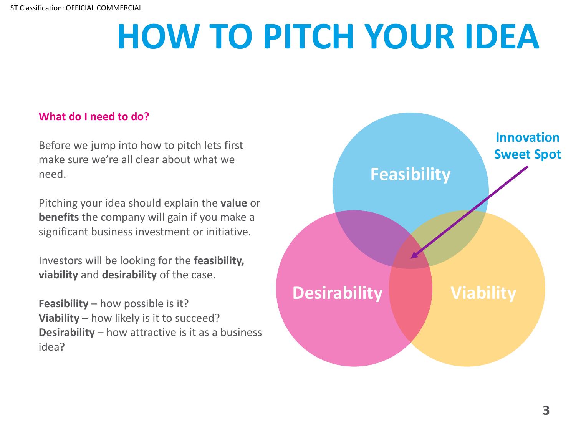## **HOW TO PITCH YOUR IDEA**

#### **What do I need to do?**

Before we jump into how to pitch lets first make sure we're all clear about what we need.

Pitching your idea should explain the **value** or **benefits** the company will gain if you make a significant business investment or initiative.

**service** Investors will be looking for the **feasibility, viability** and **desirability** of the case.

**Feasibility** – how possible is it? **Viability** – how likely is it to succeed? **Desirability** – how attractive is it as a business idea?

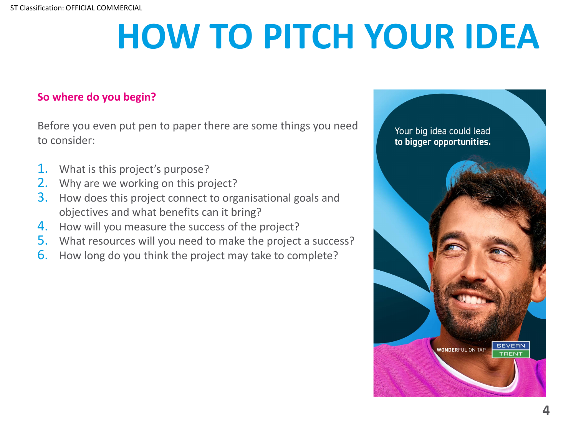# **HOW TO PITCH YOUR IDEA**

#### **So where do you begin?**

Before you even put pen to paper there are some things you need to consider:

- 1. What is this project's purpose?
- 2. Why are we working on this project?
- 3. How does this project connect to organisational goals and objectives and what benefits can it bring?
- 4. How will you measure the success of the project?
- **Best value** 5. What resources will you need to make the project a success?
- **6.** How long do you think the project may take to complete?

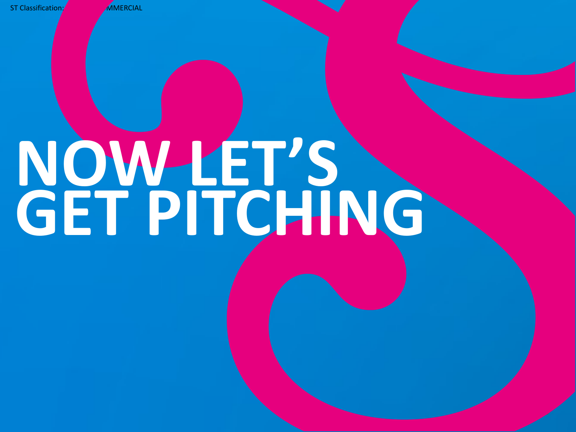ST Classification: **OFFICIAL** 

# **NOW LET'S GET PITCHING**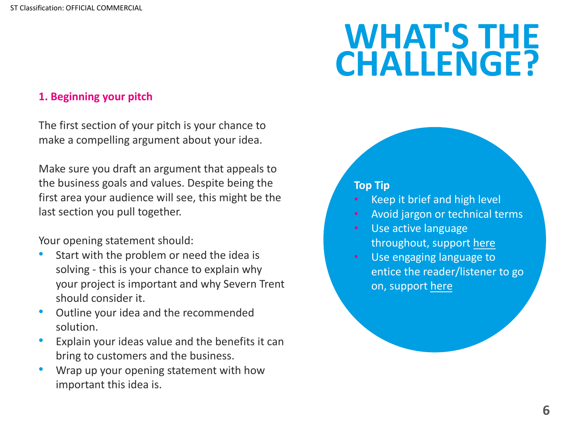ST Classification: OFFICIAL COMMERCIAL

#### **1. Beginning your pitch**

The first section of your pitch is your chance to make a compelling argument about your idea.

Make sure you draft an argument that appeals to the business goals and values. Despite being the first area your audience will see, this might be the last section you pull together.

Your opening statement should:

- Start with the problem or need the idea is solving - this is your chance to explain why your project is important and why Severn Trent should consider it.
- Outline your idea and the recommended solution.
- Explain your ideas value and the benefits it can bring to customers and the business.
- Wrap up your opening statement with how important this idea is.

### **WHAT'S**, **CHAL[LE](https://www.sorcd.com/blog/post/how-to-write-a-killer-opening)NGE?**

- Keep it brief and high lev
- Avoid jargon or technical
- Use active language throughout, support her
- Use engaging language t entice the reader/listene on, support here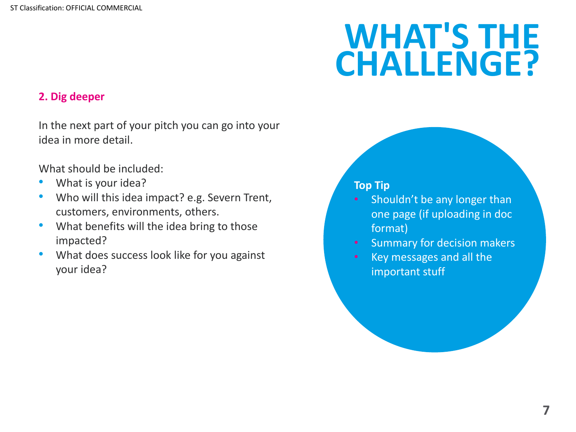### **WHAT'S THE CHALLENGE?**

#### **2. Dig deeper**

In the next part of your pitch you can go into your idea in more detail.

What should be included:

- What is your idea?
- Who will this idea impact? e.g. Severn Trent, customers, environments, others.
- What benefits will the idea bring to those impacted?
- **Best value** • What does success look like for you against your idea?

- Shouldn't be any longer than one page (if uploading in doc format)
- Summary for decision makers
- Key messages and all the important stuff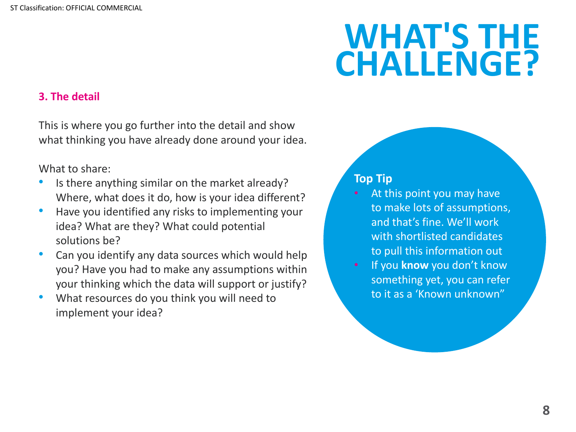### **WHAT'S THE CHALLENGE?**

#### **3. The detail**

This is where you go further into the detail and show what thinking you have already done around your idea.

#### What to share:

- Is there anything similar on the market already? Where, what does it do, how is your idea different?
- Have you identified any risks to implementing your idea? What are they? What could potential solutions be?
- **•** Can you identify any data sources which would help you? Have you had to make any assumptions within your thinking which the data will support or justify?
- What resources do you think you will need to implement your idea?

- At this point you may have to make lots of assumptions, and that's fine. We'll work with shortlisted candidates to pull this information out
- If you **know** you don't know something yet, you can refer to it as a 'Known unknown"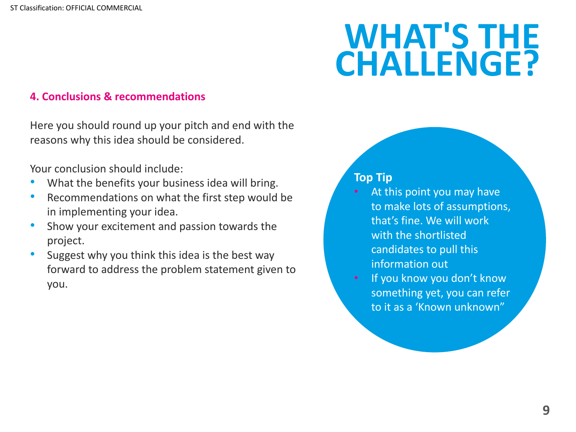### **WHAT'S THE CHALLENGE?**

#### **4. Conclusions & recommendations**

Here you should round up your pitch and end with the reasons why this idea should be considered.

Your conclusion should include:

- What the benefits your business idea will bring.
- Recommendations on what the first step would be in implementing your idea.
- Show your excitement and passion towards the project.
- **Best value •** Suggest why you think this idea is the best way forward to address the problem statement given to you.

- At this point you may have to make lots of assumptions, that's fine. We will work with the shortlisted candidates to pull this information out
- If you know you don't know something yet, you can refer to it as a 'Known unknown"